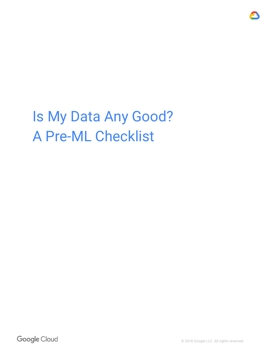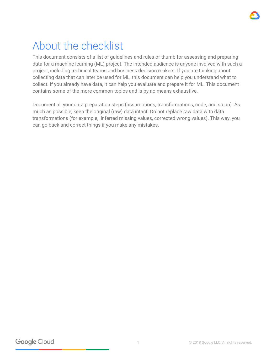## About the checklist

This document consists of a list of guidelines and rules of thumb for assessing and preparing data for a machine learning (ML) project. The intended audience is anyone involved with such a project, including technical teams and business decision makers. If you are thinking about collecting data that can later be used for ML, this document can help you understand what to collect. If you already have data, it can help you evaluate and prepare it for ML. This document contains some of the more common topics and is by no means exhaustive.

Document all your data preparation steps (assumptions, transformations, code, and so on). As much as possible, keep the original (raw) data intact. Do not replace raw data with data transformations (for example, inferred missing values, corrected wrong values). This way, you can go back and correct things if you make any mistakes.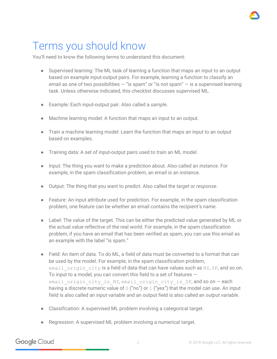# Terms you should know

You'll need to know the following terms to understand this document:

- Supervised learning: The ML task of learning a function that maps an input to an output based on example input-output pairs. For example, learning a function to classify an email as one of two possibilities  $-$  "is spam" or "is not spam"  $-$  is a supervised learning task. Unless otherwise indicated, this checklist discusses supervised ML.
- Example: Each input-output pair. Also called a *sample*.
- Machine learning model: A function that maps an input to an output.
- Train a machine learning model: Learn the function that maps an input to an output based on examples.
- Training data: A set of input-output pairs used to train an ML model.
- Input: The thing you want to make a prediction about. Also called an *instance*. For example, in the spam classification problem, an email is an instance.
- Output: The thing that you want to predict. Also called the *target* or *response*.
- Feature: An input attribute used for prediction. For example, in the spam classification problem, one feature can be whether an email contains the recipient's name.
- Label: The value of the target. This can be either the predicted value generated by ML or the actual value reflective of the real world. For example, in the spam classification problem, if you have an email that has been verified as spam, you can use this email as an example with the label "is spam."
- Field: An item of data. To do ML, a field of data must be converted to a format that can be used by the model. For example, in the spam classification problem, email origin city is a field of data that can have values such as NY, SF, and so on. To input to a model, you can convert this field to a set of features  $$ email origin city is NY, email origin city is SF, and so on - each having a discrete numeric value of  $0$  ("no") or  $1$  ("yes") that the model can use. An input field is also called an *input variable* and an output field is also called an *output variable*.
- Classification: A supervised ML problem involving a categorical target.
- Regression: A supervised ML problem involving a numerical target.

Google Cloud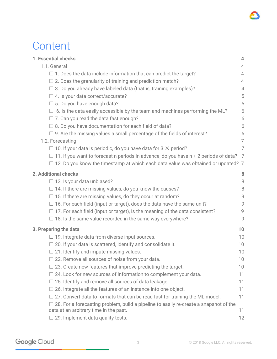### **Content**

| 1. Essential checks                                                                          | 4               |
|----------------------------------------------------------------------------------------------|-----------------|
| 1.1. General                                                                                 | 4               |
| $\Box$ 1. Does the data include information that can predict the target?                     | $\overline{4}$  |
| $\Box$ 2. Does the granularity of training and prediction match?                             | 4               |
| $\Box$ 3. Do you already have labeled data (that is, training examples)?                     | 4               |
| $\Box$ 4. Is your data correct/accurate?                                                     | 5               |
| $\Box$ 5. Do you have enough data?                                                           | 5               |
| $\Box$ 6. Is the data easily accessible by the team and machines performing the ML?          | 6               |
| $\Box$ 7. Can you read the data fast enough?                                                 | 6               |
| $\Box$ 8. Do you have documentation for each field of data?                                  | 6               |
| $\Box$ 9. Are the missing values a small percentage of the fields of interest?               | 6               |
| 1.2. Forecasting                                                                             | 7               |
| $\Box$ 10. If your data is periodic, do you have data for 3 $\times$ period?                 | 7               |
| $\Box$ 11. If you want to forecast n periods in advance, do you have n + 2 periods of data?  | 7               |
| $\Box$ 12. Do you know the timestamp at which each data value was obtained or updated? 7     |                 |
| 2. Additional checks                                                                         | 8               |
| $\Box$ 13. Is your data unbiased?                                                            | 8               |
| $\Box$ 14. If there are missing values, do you know the causes?                              | 8               |
| $\Box$ 15. If there are missing values, do they occur at random?                             | 9               |
| $\Box$ 16. For each field (input or target), does the data have the same unit?               | 9               |
| $\Box$ 17. For each field (input or target), is the meaning of the data consistent?          | 9               |
| $\Box$ 18. Is the same value recorded in the same way everywhere?                            | 9               |
| 3. Preparing the data                                                                        | 10              |
| $\Box$ 19. Integrate data from diverse input sources.                                        | 10              |
| $\Box$ 20. If your data is scattered, identify and consolidate it.                           | 10              |
| $\Box$ 21. Identify and impute missing values.                                               | 10              |
| $\Box$ 22. Remove all sources of noise from your data.                                       | 10 <sup>°</sup> |
| $\Box$ 23. Create new features that improve predicting the target.                           | 10              |
| $\Box$ 24. Look for new sources of information to complement your data.                      | 11              |
| $\Box$ 25. Identify and remove all sources of data leakage.                                  | 11              |
| $\Box$ 26. Integrate all the features of an instance into one object.                        | 11              |
| 27. Convert data to formats that can be read fast for training the ML model.                 | 11              |
| $\Box$ 28. For a forecasting problem, build a pipeline to easily re-create a snapshot of the |                 |
| data at an arbitrary time in the past.                                                       | 11              |
| $\Box$ 29. Implement data quality tests.                                                     | 12              |

Google Cloud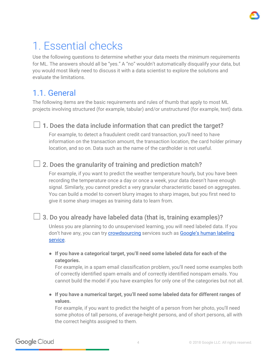

## <span id="page-4-0"></span>1. Essential checks

Use the following questions to determine whether your data meets the minimum requirements for ML. The answers should all be "yes." A "no" wouldn't automatically disqualify your data, but you would most likely need to discuss it with a data scientist to explore the solutions and evaluate the limitations.

### <span id="page-4-1"></span>1.1. General

The following items are the basic requirements and rules of thumb that apply to most ML projects involving structured (for example, tabular) and/or unstructured (for example, text) data.

#### <span id="page-4-2"></span> $\Box$  1. Does the data include information that can predict the target?

For example, to detect a fraudulent credit card transaction, you'll need to have information on the transaction amount, the transaction location, the card holder primary location, and so on. Data such as the name of the cardholder is not useful.

#### <span id="page-4-3"></span> $\Box$  2. Does the granularity of training and prediction match?

For example, if you want to predict the weather temperature hourly, but you have been recording the temperature once a day or once a week, your data doesn't have enough signal. Similarly, you cannot predict a very granular characteristic based on aggregates. You can build a model to convert blurry images to sharp images, but you first need to give it some sharp images as training data to learn from.

#### <span id="page-4-4"></span> $\Box$  3. Do you already have labeled data (that is, training examples)?

Unless you are planning to do unsupervised learning, you will need labeled data. If you don't have any, you can try *[crowdsourcing](https://ai.google/research/pubs/pub36946)* services such as **[Google's](https://cloud.google.com/vision/automl/docs/human-labeling) human labeling** [service](https://cloud.google.com/vision/automl/docs/human-labeling).

**● If you have a categorical target, you'll need some labeled data for each of the categories.**

For example, in a spam email classification problem, you'll need some examples both of correctly identified spam emails and of correctly identified nonspam emails. You cannot build the model if you have examples for only one of the categories but not all.

**● If you have a numerical target, you'll need some labeled data for different ranges of values.**

For example, if you want to predict the height of a person from her photo, you'll need some photos of tall persons, of average-height persons, and of short persons, all with the correct heights assigned to them.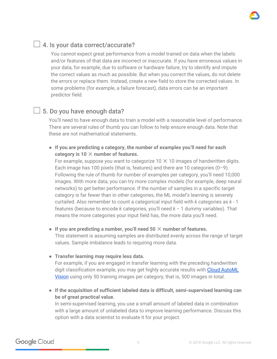#### <span id="page-5-0"></span> $\Box$  4. Is your data correct/accurate?

You cannot expect great performance from a model trained on data when the labels and/or features of that data are incorrect or inaccurate. If you have erroneous values in your data, for example, due to software or hardware failure, try to identify and impute the correct values as much as possible. But when you correct the values, do not delete the errors or replace them. Instead, create a new field to store the corrected values. In some problems (for example, a failure forecast), data errors can be an important predictor field.

#### <span id="page-5-1"></span> $\Box$  5. Do you have enough data?

You'll need to have enough data to train a model with a reasonable level of performance. There are several rules of thumb you can follow to help ensure enough data. Note that these are not mathematical statements.

**● If you are predicting a category, the number of examples you'll need for each category is 10** ✕ **number of features.**

For example, suppose you want to categorize  $10 \times 10$  images of handwritten digits. Each image has 100 pixels (that is, features) and there are 10 categories  $(0-9)$ . Following the rule of thumb for number of examples per category, you'll need 10,000 images. With more data, you can try more complex models (for example, deep neural networks) to get better performance. If the number of samples in a specific target category is far fewer than in other categories, the ML model's learning is severely curtailed. Also remember to count a categorical input field with *k* categories as *k* - 1 features (because to encode *k* categories, you'll need *k* − 1 dummy variables). That means the more categories your input field has, the more data you'll need.

#### **● If you are predicting a number, you'll need 50** ✕ **number of features.**

This statement is assuming samples are distributed evenly across the range of target values. Sample imbalance leads to requiring more data.

**● Transfer learning may require less data.**

For example, if you are engaged in transfer learning with the preceding handwritten digit classification example, you may get highly accurate results with Cloud [AutoML](https://cloud.google.com/automl/) [Vision](https://cloud.google.com/automl/) using only 50 training images per category, that is, 500 images in total.

**● If the acquisition of sufficient labeled data is difficult, semi-supervised learning can be of great practical value.**

In semi-supervised learning, you use a small amount of labeled data in combination with a large amount of unlabeled data to improve learning performance. Discuss this option with a data scientist to evaluate it for your project.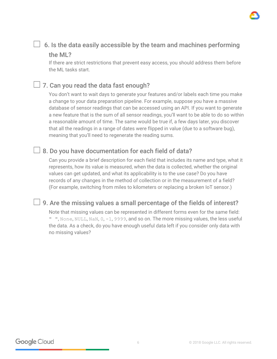

#### <span id="page-6-0"></span> $\Box$  6. Is the data easily accessible by the team and machines performing the ML?

If there are strict restrictions that prevent easy access, you should address them before the ML tasks start.

#### <span id="page-6-1"></span> $\Box$  7. Can you read the data fast enough?

You don't want to wait days to generate your features and/or labels each time you make a change to your data preparation pipeline. For example, suppose you have a massive database of sensor readings that can be accessed using an API. If you want to generate a new feature that is the sum of all sensor readings, you'll want to be able to do so within a reasonable amount of time. The same would be true if, a few days later, you discover that all the readings in a range of dates were flipped in value (due to a software bug), meaning that you'll need to regenerate the reading sums.

#### <span id="page-6-2"></span> $\Box$  8. Do you have documentation for each field of data?

Can you provide a brief description for each field that includes its name and type, what it represents, how its value is measured, when the data is collected, whether the original values can get updated, and what its applicability is to the use case? Do you have records of any changes in the method of collection or in the measurement of a field? (For example, switching from miles to kilometers or replacing a broken IoT sensor.)

#### <span id="page-6-3"></span> $\Box$  9. Are the missing values a small percentage of the fields of interest?

Note that missing values can be represented in different forms even for the same field: " ", None, NULL, NaN, 0, -1, 9999, and so on. The more missing values, the less useful the data. As a check, do you have enough useful data left if you consider only data with no missing values?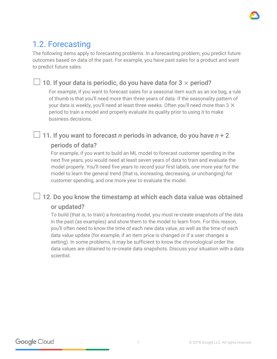

### <span id="page-7-0"></span>1.2. Forecasting

The following items apply to forecasting problems. In a forecasting problem, you predict future outcomes based on data of the past. For example, you have past sales for a product and want to predict future sales.

#### <span id="page-7-1"></span> $□$  10. If your data is periodic, do you have data for 3  $\times$  period?

For example, if you want to forecast sales for a seasonal item such as an ice bag, a rule of thumb is that you'll need more than three years of data. If the seasonality pattern of your data is weekly, you'll need at least three weeks. Often you'll need more than  $3 \times$ period to train a model and properly evaluate its quality prior to using it to make business decisions.

### <span id="page-7-2"></span>☐ 11. If you want to forecast *n* periods in advance, do you have *n* + 2 periods of data?

For example, if you want to build an ML model to forecast customer spending in the next five years, you would need at least seven years of data to train and evaluate the model properly. You'll need five years to record your first labels, one more year for the model to learn the general trend (that is, increasing, decreasing, or unchanging) for customer spending, and one more year to evaluate the model.

#### <span id="page-7-3"></span> $\Box$  12. Do you know the timestamp at which each data value was obtained or updated?

To build (that is, to train) a forecasting model, you must re-create snapshots of the data in the past (as examples) and show them to the model to learn from. For this reason, you'll often need to know the time of each new data value, as well as the time of each data value update (for example, if an item price is changed or if a user changes a setting). In some problems, it may be sufficient to know the chronological order the data values are obtained to re-create data snapshots. Discuss your situation with a data scientist.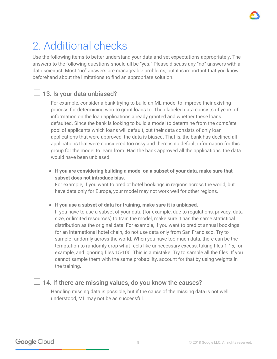

## <span id="page-8-0"></span>2. Additional checks

Use the following items to better understand your data and set expectations appropriately. The answers to the following questions should all be "yes." Please discuss any "no" answers with a data scientist. Most "no" answers are manageable problems, but it is important that you know beforehand about the limitations to find an appropriate solution.

#### <span id="page-8-1"></span> $\Box$  13. Is your data unbiased?

For example, consider a bank trying to build an ML model to improve their existing process for determining who to grant loans to. Their labeled data consists of years of information on the loan applications already granted and whether these loans defaulted. Since the bank is looking to build a model to determine from the *complete* pool of applicants which loans will default, but their data consists of only loan applications that were approved, the data is biased. That is, the bank has declined all applications that were considered too risky and there is no default information for this group for the model to learn from. Had the bank approved all the applications, the data would have been unbiased.

**● If you are considering building a model on a subset of your data, make sure that subset does not introduce bias.**

For example, if you want to predict hotel bookings in regions across the world, but have data only for Europe, your model may not work well for other regions.

**● If you use a subset of data for training, make sure it is unbiased.**

If you have to use a subset of your data (for example, due to regulations, privacy, data size, or limited resources) to train the model, make sure it has the same statistical distribution as the original data. For example, if you want to predict annual bookings for an international hotel chain, do not use data only from San Francisco. Try to sample randomly across the world. When you have too much data, there can be the temptation to randomly drop what feels like unnecessary excess, taking files 1-15, for example, and ignoring files 15-100. This is a mistake. Try to sample all the files. If you cannot sample them with the same probability, account for that by using weights in the training.

#### <span id="page-8-2"></span> $\Box$  14. If there are missing values, do you know the causes?

Handling missing data is possible, but if the cause of the missing data is not well understood, ML may not be as successful.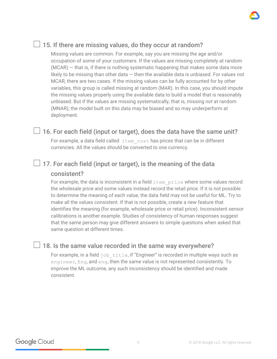#### <span id="page-9-0"></span> $\Box$  15. If there are missing values, do they occur at random?

Missing values are common. For example, say you are missing the age and/or occupation of some of your customers. If the values are missing completely at random  $(MCAR)$  – that is, if there is nothing systematic happening that makes some data more likely to be missing than other data  $-$  then the available data is unbiased. For values not MCAR, there are two cases. If the missing values can be fully accounted for by other variables, this group is called missing at random (MAR). In this case, you should impute the missing values properly using the available data to build a model that is reasonably unbiased. But if the values are missing systematically, that is, missing *not* at random (MNAR), the model built on this data may be biased and so may underperform at deployment.

#### <span id="page-9-1"></span> $\Box$  16. For each field (input or target), does the data have the same unit?

For example, a data field called item cost has prices that can be in different currencies. All the values should be converted to one currency.

#### <span id="page-9-2"></span> $\Box$  17. For each field (input or target), is the meaning of the data consistent?

For example, the data is inconsistent in a field item price where some values record the wholesale price and some values instead record the retail price. If it is not possible to determine the meaning of each value, the data field may not be useful for ML. Try to make all the values consistent. If that is not possible, create a new feature that identifies the meaning (for example, wholesale price or retail price). Inconsistent sensor calibrations is another example. Studies of consistency of human responses suggest that the same person may give different answers to simple questions when asked that same question at different times.

#### <span id="page-9-3"></span> $\Box$  18. Is the same value recorded in the same way everywhere?

For example, in a field  $j$ ob title, if "Engineer" is recorded in multiple ways such as engineer, Eng, and eng, then the same value is not represented consistently. To improve the ML outcome, any such inconsistency should be identified and made consistent.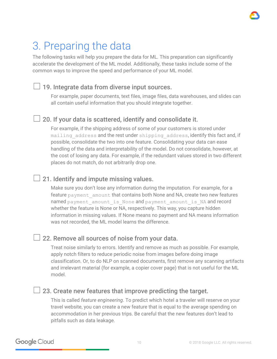

## <span id="page-10-0"></span>3. Preparing the data

The following tasks will help you prepare the data for ML. This preparation can significantly accelerate the development of the ML model. Additionally, these tasks include some of the common ways to improve the speed and performance of your ML model.

#### <span id="page-10-1"></span>☐ 19. Integrate data from diverse input sources.

For example, paper documents, text files, image files, data warehouses, and slides can all contain useful information that you should integrate together.

#### <span id="page-10-2"></span>20. If your data is scattered, identify and consolidate it.

For example, if the shipping address of some of your customers is stored under mailing address and the rest under shipping address, identify this fact and, if possible, consolidate the two into one feature. Consolidating your data can ease handling of the data and interpretability of the model. Do not consolidate, however, at the cost of losing any data. For example, if the redundant values stored in two different places do not match, do not arbitrarily drop one.

#### <span id="page-10-3"></span> $\perp$  21. Identify and impute missing values.

Make sure you don't lose any information during the imputation. For example, for a feature payment amount that contains both None and NA, create two new features named payment amount is None and payment amount is NA and record whether the feature is None or NA, respectively. This way, you capture hidden information in missing values. If None means no payment and NA means information was not recorded, the ML model learns the difference.

#### <span id="page-10-4"></span>☐ 22. Remove all sources of noise from your data.

Treat noise similarly to errors. Identify and remove as much as possible. For example, apply notch filters to reduce periodic noise from images before doing image classification. Or, to do NLP on scanned documents, first remove any scanning artifacts and irrelevant material (for example, a copier cover page) that is not useful for the ML model.

#### <span id="page-10-5"></span>23. Create new features that improve predicting the target.

This is called *feature engineering*. To predict which hotel a traveler will reserve on your travel website, you can create a new feature that is equal to the average spending on accommodation in her previous trips. Be careful that the new features don't lead to pitfalls such as data leakage.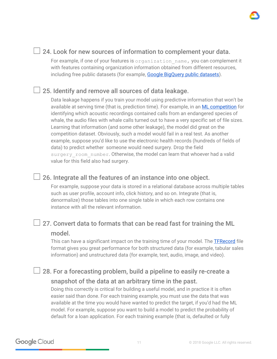#### <span id="page-11-0"></span>☐ 24. Look for new sources of information to complement your data.

For example, if one of your features is organization name, you can complement it with features containing organization information obtained from different resources, including free public datasets (for example, Google [BigQuery](https://cloud.google.com/bigquery/public-data/) public datasets).

#### <span id="page-11-1"></span>☐ 25. Identify and remove all sources of data leakage.

Data leakage happens if you train your model using predictive information that won't be available at serving time (that is, prediction time). For example, in an **ML [competition](https://www.kaggle.com/c/the-icml-2013-whale-challenge-right-whale-redux/discussion/4865)** for identifying which acoustic recordings contained calls from an endangered species of whale, the audio files with whale calls turned out to have a very specific set of file sizes. Learning that information (and some other leakage), the model did great on the competition dataset. Obviously, such a model would fail in a real test. As another example, suppose you'd like to use the electronic health records (hundreds of fields of data) to predict whether someone would need surgery. Drop the field surgery room number. Otherwise, the model can learn that whoever had a valid value for this field also had surgery.

#### <span id="page-11-2"></span>☐ 26. Integrate all the features of an instance into one object.

For example, suppose your data is stored in a relational database across multiple tables such as user profile, account info, click history, and so on. Integrate (that is, denormalize) those tables into one single table in which each row contains one instance with all the relevant information.

### <span id="page-11-3"></span> $\perp$  27. Convert data to formats that can be read fast for training the ML

#### model.

This can have a significant impact on the training time of your model. The [TFRecord](https://www.tensorflow.org/programmers_guide/datasets) file format gives you great performance for both structured data (for example, tabular sales information) and unstructured data (for example, text, audio, image, and video).

#### <span id="page-11-4"></span>28. For a forecasting problem, build a pipeline to easily re-create a snapshot of the data at an arbitrary time in the past.

Doing this correctly is critical for building a useful model, and in practice it is often easier said than done. For each training example, you must use the data that was available at the time you would have wanted to predict the target, if you'd had the ML model. For example, suppose you want to build a model to predict the probability of default for a loan application. For each training example (that is, defaulted or fully